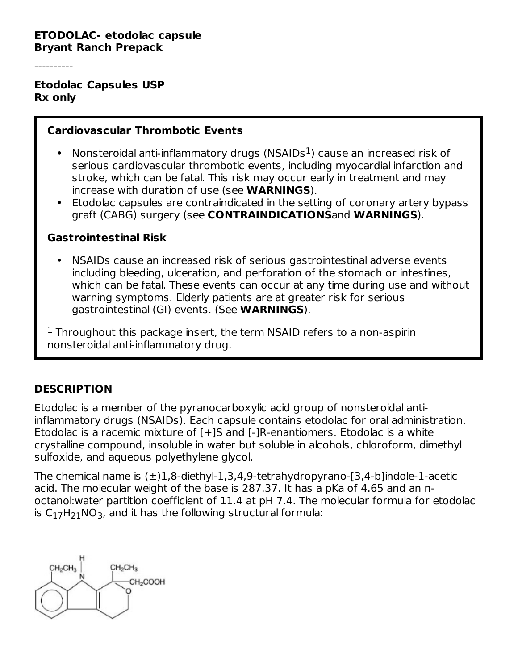#### **ETODOLAC- etodolac capsule Bryant Ranch Prepack**

----------

**Etodolac Capsules USP Rx only**

#### **Cardiovascular Thrombotic Events**

- Nonsteroidal anti-inflammatory drugs (NSAIDs $<sup>1</sup>$ ) cause an increased risk of</sup> serious cardiovascular thrombotic events, including myocardial infarction and stroke, which can be fatal. This risk may occur early in treatment and may increase with duration of use (see **WARNINGS**).
- Etodolac capsules are contraindicated in the setting of coronary artery bypass graft (CABG) surgery (see **CONTRAINDICATIONS**and **WARNINGS**).

#### **Gastrointestinal Risk**

• NSAIDs cause an increased risk of serious gastrointestinal adverse events including bleeding, ulceration, and perforation of the stomach or intestines, which can be fatal. These events can occur at any time during use and without warning symptoms. Elderly patients are at greater risk for serious gastrointestinal (GI) events. (See **WARNINGS**).

 $1$  Throughout this package insert, the term NSAID refers to a non-aspirin nonsteroidal anti-inflammatory drug.

#### **DESCRIPTION**

Etodolac is a member of the pyranocarboxylic acid group of nonsteroidal antiinflammatory drugs (NSAIDs). Each capsule contains etodolac for oral administration. Etodolac is a racemic mixture of  $[+]S$  and  $[.]R$ -enantiomers. Etodolac is a white crystalline compound, insoluble in water but soluble in alcohols, chloroform, dimethyl sulfoxide, and aqueous polyethylene glycol.

The chemical name is  $(\pm)1.8$ -diethyl-1.3.4.9-tetrahydropyrano-[3.4-b]indole-1-acetic acid. The molecular weight of the base is 287.37. It has a pKa of 4.65 and an noctanol:water partition coefficient of 11.4 at pH 7.4. The molecular formula for etodolac is  $C_{17}H_{21}NO_3$ , and it has the following structural formula:

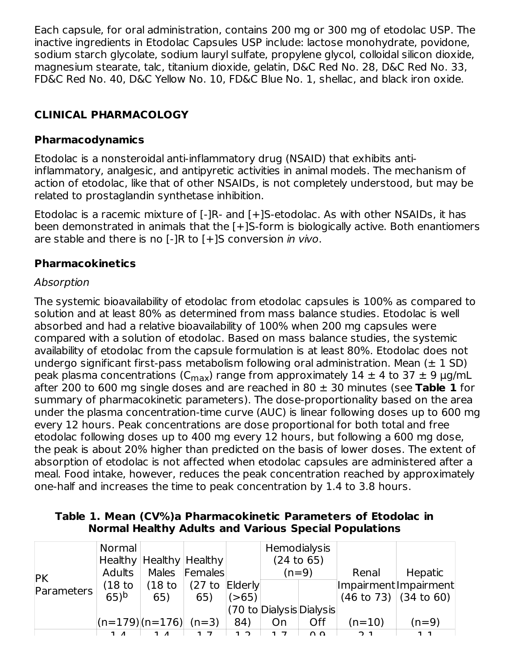Each capsule, for oral administration, contains 200 mg or 300 mg of etodolac USP. The inactive ingredients in Etodolac Capsules USP include: lactose monohydrate, povidone, sodium starch glycolate, sodium lauryl sulfate, propylene glycol, colloidal silicon dioxide, magnesium stearate, talc, titanium dioxide, gelatin, D&C Red No. 28, D&C Red No. 33, FD&C Red No. 40, D&C Yellow No. 10, FD&C Blue No. 1, shellac, and black iron oxide.

## **CLINICAL PHARMACOLOGY**

## **Pharmacodynamics**

Etodolac is a nonsteroidal anti-inflammatory drug (NSAID) that exhibits antiinflammatory, analgesic, and antipyretic activities in animal models. The mechanism of action of etodolac, like that of other NSAIDs, is not completely understood, but may be related to prostaglandin synthetase inhibition.

Etodolac is a racemic mixture of [-]R- and [+]S-etodolac. As with other NSAIDs, it has been demonstrated in animals that the [+]S-form is biologically active. Both enantiomers are stable and there is no  $[-]R$  to  $[+]S$  conversion in vivo.

## **Pharmacokinetics**

## Absorption

The systemic bioavailability of etodolac from etodolac capsules is 100% as compared to solution and at least 80% as determined from mass balance studies. Etodolac is well absorbed and had a relative bioavailability of 100% when 200 mg capsules were compared with a solution of etodolac. Based on mass balance studies, the systemic availability of etodolac from the capsule formulation is at least 80%. Etodolac does not undergo significant first-pass metabolism following oral administration. Mean  $(\pm 1$  SD) peak plasma concentrations (C<sub>max</sub>) range from approximately 14  $\pm$  4 to 37  $\pm$  9  $\mu$ g/mL after 200 to 600 mg single doses and are reached in 80 ± 30 minutes (see **Table 1** for summary of pharmacokinetic parameters). The dose-proportionality based on the area under the plasma concentration-time curve (AUC) is linear following doses up to 600 mg every 12 hours. Peak concentrations are dose proportional for both total and free etodolac following doses up to 400 mg every 12 hours, but following a 600 mg dose, the peak is about 20% higher than predicted on the basis of lower doses. The extent of absorption of etodolac is not affected when etodolac capsules are administered after a meal. Food intake, however, reduces the peak concentration reached by approximately one-half and increases the time to peak concentration by 1.4 to 3.8 hours.

#### **Table 1. Mean (CV%)a Pharmacokinetic Parameters of Etodolac in Normal Healthy Adults and Various Special Populations**

|            | Normal                   |                             |                |       | <b>Hemodialysis</b>      |            |                                  |                |
|------------|--------------------------|-----------------------------|----------------|-------|--------------------------|------------|----------------------------------|----------------|
|            |                          | Healthy   Healthy   Healthy |                |       |                          | (24 to 65) |                                  |                |
| <b>PK</b>  | Adults                   |                             | Males Females  |       | $(n=9)$                  |            | Renal                            | Hepatic        |
| Parameters | (18 to                   | (18 to                      | (27 to Elderly |       |                          |            | Impairment Impairment            |                |
|            | $65)$ <sup>b</sup>       | 65)                         | 65)            | (>65) |                          |            | $(46 \text{ to } 73)$ (34 to 60) |                |
|            |                          |                             |                |       | (70 to Dialysis Dialysis |            |                                  |                |
|            | $(n=179)(n=176)$ $(n=3)$ |                             |                | 84)   | On                       | Off        | $(n=10)$                         | $(n=9)$        |
|            |                          |                             |                |       |                          | $\Omega$   | $\neg$ $\neg$                    | 1 <sub>1</sub> |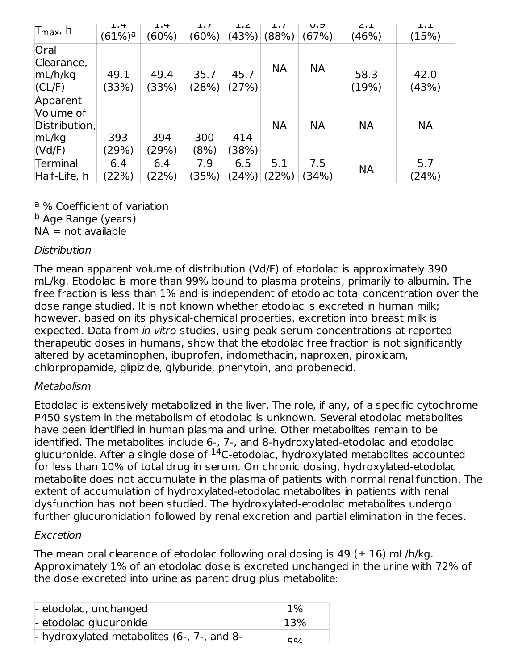| $T_{\text{max}}$ , h                                      | 1.4<br>(61%) <sup>a</sup> | $\pm .4$<br>$(60\%)$ | $\perp$ .<br>(60%) | (43%)         | $\perp$ . $\prime$<br>(88%) | บ. ฯ<br>(67%) | $\angle$ .<br>(46%) | $\perp$ . $\perp$<br>(15%) |
|-----------------------------------------------------------|---------------------------|----------------------|--------------------|---------------|-----------------------------|---------------|---------------------|----------------------------|
| Oral<br>Clearance,<br>mL/h/kg<br>(CL/F)                   | 49.1<br>33%)              | 49.4<br>(33%)        | 35.7<br>(28%)      | 45.7<br>(27%) | <b>NA</b>                   | <b>NA</b>     | 58.3<br>(19%)       | 42.0<br>(43%)              |
| Apparent<br>Volume of<br>Distribution,<br>mL/kg<br>(Vd/F) | 393<br>(29%)              | 394<br>(29%)         | 300<br>(8%)        | 414<br>(38%)  | <b>NA</b>                   | <b>NA</b>     | <b>NA</b>           | <b>NA</b>                  |
| Terminal<br>Half-Life, h                                  | 6.4<br>(22%)              | 6.4<br>(22%)         | 7.9<br>(35%)       | 6.5<br>(24%)  | 5.1<br>(22%)                | 7.5<br>(34%)  | <b>NA</b>           | 5.7<br>(24%)               |

<sup>a</sup> % Coefficient of variation

<sup>b</sup> Age Range (years)

 $NA = not available$ 

#### Distribution

The mean apparent volume of distribution (Vd/F) of etodolac is approximately 390 mL/kg. Etodolac is more than 99% bound to plasma proteins, primarily to albumin. The free fraction is less than 1% and is independent of etodolac total concentration over the dose range studied. It is not known whether etodolac is excreted in human milk; however, based on its physical-chemical properties, excretion into breast milk is expected. Data from in vitro studies, using peak serum concentrations at reported therapeutic doses in humans, show that the etodolac free fraction is not significantly altered by acetaminophen, ibuprofen, indomethacin, naproxen, piroxicam, chlorpropamide, glipizide, glyburide, phenytoin, and probenecid.

#### Metabolism

Etodolac is extensively metabolized in the liver. The role, if any, of a specific cytochrome P450 system in the metabolism of etodolac is unknown. Several etodolac metabolites have been identified in human plasma and urine. Other metabolites remain to be identified. The metabolites include 6-, 7-, and 8-hydroxylated-etodolac and etodolac glucuronide. After a single dose of  $^{14}$ C-etodolac, hydroxylated metabolites accounted for less than 10% of total drug in serum. On chronic dosing, hydroxylated-etodolac metabolite does not accumulate in the plasma of patients with normal renal function. The extent of accumulation of hydroxylated-etodolac metabolites in patients with renal dysfunction has not been studied. The hydroxylated-etodolac metabolites undergo further glucuronidation followed by renal excretion and partial elimination in the feces.

#### Excretion

The mean oral clearance of etodolac following oral dosing is 49 ( $\pm$  16) mL/h/kg. Approximately 1% of an etodolac dose is excreted unchanged in the urine with 72% of the dose excreted into urine as parent drug plus metabolite:

| $\vdash$ etodolac, unchanged                       | $1\%$          |
|----------------------------------------------------|----------------|
| - etodolac glucuronide                             | 13%            |
| $\vert$ - hydroxylated metabolites (6-, 7-, and 8- | E <sub>0</sub> |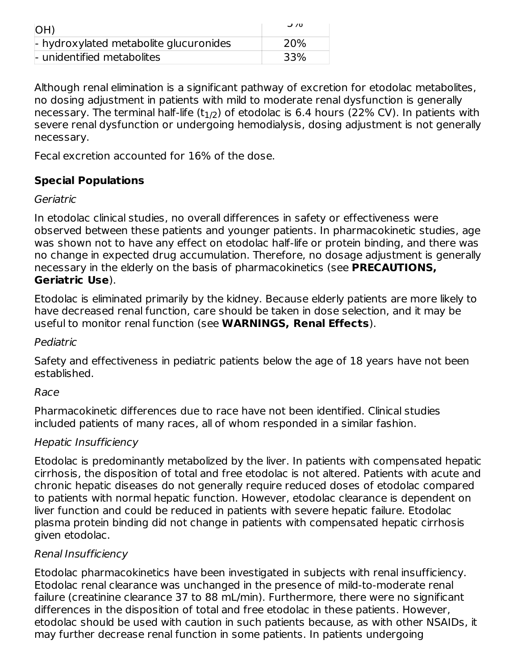| (IOH                                   | 70 ل |
|----------------------------------------|------|
| - hydroxylated metabolite glucuronides | 20%  |
| - unidentified metabolites             | 33%  |

Although renal elimination is a significant pathway of excretion for etodolac metabolites, no dosing adjustment in patients with mild to moderate renal dysfunction is generally necessary. The terminal half-life (t $_{\rm 1/2}$ ) of etodolac is 6.4 hours (22% CV). In patients with severe renal dysfunction or undergoing hemodialysis, dosing adjustment is not generally necessary.

Fecal excretion accounted for 16% of the dose.

## **Special Populations**

## Geriatric

In etodolac clinical studies, no overall differences in safety or effectiveness were observed between these patients and younger patients. In pharmacokinetic studies, age was shown not to have any effect on etodolac half-life or protein binding, and there was no change in expected drug accumulation. Therefore, no dosage adjustment is generally necessary in the elderly on the basis of pharmacokinetics (see **PRECAUTIONS, Geriatric Use**).

Etodolac is eliminated primarily by the kidney. Because elderly patients are more likely to have decreased renal function, care should be taken in dose selection, and it may be useful to monitor renal function (see **WARNINGS, Renal Effects**).

### Pediatric

Safety and effectiveness in pediatric patients below the age of 18 years have not been established.

## Race

Pharmacokinetic differences due to race have not been identified. Clinical studies included patients of many races, all of whom responded in a similar fashion.

## Hepatic Insufficiency

Etodolac is predominantly metabolized by the liver. In patients with compensated hepatic cirrhosis, the disposition of total and free etodolac is not altered. Patients with acute and chronic hepatic diseases do not generally require reduced doses of etodolac compared to patients with normal hepatic function. However, etodolac clearance is dependent on liver function and could be reduced in patients with severe hepatic failure. Etodolac plasma protein binding did not change in patients with compensated hepatic cirrhosis given etodolac.

## Renal Insufficiency

Etodolac pharmacokinetics have been investigated in subjects with renal insufficiency. Etodolac renal clearance was unchanged in the presence of mild-to-moderate renal failure (creatinine clearance 37 to 88 mL/min). Furthermore, there were no significant differences in the disposition of total and free etodolac in these patients. However, etodolac should be used with caution in such patients because, as with other NSAIDs, it may further decrease renal function in some patients. In patients undergoing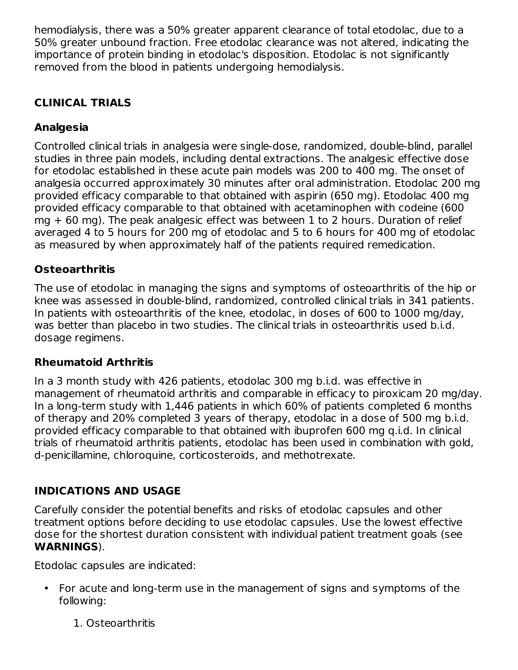hemodialysis, there was a 50% greater apparent clearance of total etodolac, due to a 50% greater unbound fraction. Free etodolac clearance was not altered, indicating the importance of protein binding in etodolac's disposition. Etodolac is not significantly removed from the blood in patients undergoing hemodialysis.

## **CLINICAL TRIALS**

## **Analgesia**

Controlled clinical trials in analgesia were single-dose, randomized, double-blind, parallel studies in three pain models, including dental extractions. The analgesic effective dose for etodolac established in these acute pain models was 200 to 400 mg. The onset of analgesia occurred approximately 30 minutes after oral administration. Etodolac 200 mg provided efficacy comparable to that obtained with aspirin (650 mg). Etodolac 400 mg provided efficacy comparable to that obtained with acetaminophen with codeine (600 mg + 60 mg). The peak analgesic effect was between 1 to 2 hours. Duration of relief averaged 4 to 5 hours for 200 mg of etodolac and 5 to 6 hours for 400 mg of etodolac as measured by when approximately half of the patients required remedication.

## **Osteoarthritis**

The use of etodolac in managing the signs and symptoms of osteoarthritis of the hip or knee was assessed in double-blind, randomized, controlled clinical trials in 341 patients. In patients with osteoarthritis of the knee, etodolac, in doses of 600 to 1000 mg/day, was better than placebo in two studies. The clinical trials in osteoarthritis used b.i.d. dosage regimens.

## **Rheumatoid Arthritis**

In a 3 month study with 426 patients, etodolac 300 mg b.i.d. was effective in management of rheumatoid arthritis and comparable in efficacy to piroxicam 20 mg/day. In a long-term study with 1,446 patients in which 60% of patients completed 6 months of therapy and 20% completed 3 years of therapy, etodolac in a dose of 500 mg b.i.d. provided efficacy comparable to that obtained with ibuprofen 600 mg q.i.d. In clinical trials of rheumatoid arthritis patients, etodolac has been used in combination with gold, d-penicillamine, chloroquine, corticosteroids, and methotrexate.

## **INDICATIONS AND USAGE**

Carefully consider the potential benefits and risks of etodolac capsules and other treatment options before deciding to use etodolac capsules. Use the lowest effective dose for the shortest duration consistent with individual patient treatment goals (see **WARNINGS**).

Etodolac capsules are indicated:

- For acute and long-term use in the management of signs and symptoms of the following:
	- 1. Osteoarthritis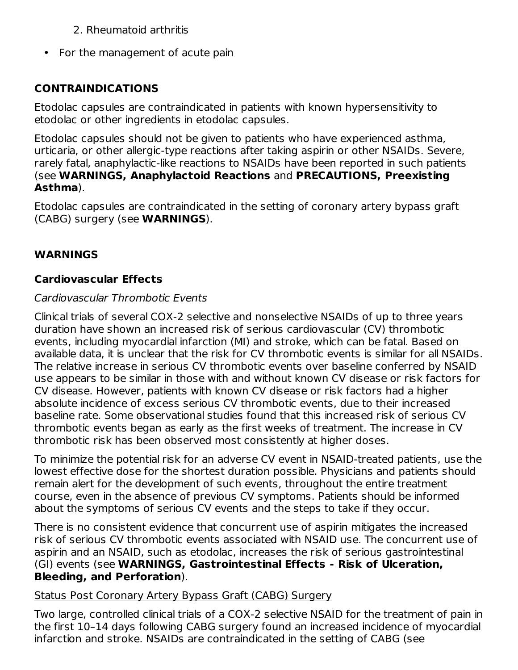- 2. Rheumatoid arthritis
- For the management of acute pain

### **CONTRAINDICATIONS**

Etodolac capsules are contraindicated in patients with known hypersensitivity to etodolac or other ingredients in etodolac capsules.

Etodolac capsules should not be given to patients who have experienced asthma, urticaria, or other allergic-type reactions after taking aspirin or other NSAIDs. Severe, rarely fatal, anaphylactic-like reactions to NSAIDs have been reported in such patients (see **WARNINGS, Anaphylactoid Reactions** and **PRECAUTIONS, Preexisting Asthma**).

Etodolac capsules are contraindicated in the setting of coronary artery bypass graft (CABG) surgery (see **WARNINGS**).

#### **WARNINGS**

#### **Cardiovascular Effects**

#### Cardiovascular Thrombotic Events

Clinical trials of several COX-2 selective and nonselective NSAIDs of up to three years duration have shown an increased risk of serious cardiovascular (CV) thrombotic events, including myocardial infarction (MI) and stroke, which can be fatal. Based on available data, it is unclear that the risk for CV thrombotic events is similar for all NSAIDs. The relative increase in serious CV thrombotic events over baseline conferred by NSAID use appears to be similar in those with and without known CV disease or risk factors for CV disease. However, patients with known CV disease or risk factors had a higher absolute incidence of excess serious CV thrombotic events, due to their increased baseline rate. Some observational studies found that this increased risk of serious CV thrombotic events began as early as the first weeks of treatment. The increase in CV thrombotic risk has been observed most consistently at higher doses.

To minimize the potential risk for an adverse CV event in NSAID-treated patients, use the lowest effective dose for the shortest duration possible. Physicians and patients should remain alert for the development of such events, throughout the entire treatment course, even in the absence of previous CV symptoms. Patients should be informed about the symptoms of serious CV events and the steps to take if they occur.

There is no consistent evidence that concurrent use of aspirin mitigates the increased risk of serious CV thrombotic events associated with NSAID use. The concurrent use of aspirin and an NSAID, such as etodolac, increases the risk of serious gastrointestinal (GI) events (see **WARNINGS, Gastrointestinal Effects - Risk of Ulceration, Bleeding, and Perforation**).

#### Status Post Coronary Artery Bypass Graft (CABG) Surgery

Two large, controlled clinical trials of a COX-2 selective NSAID for the treatment of pain in the first 10–14 days following CABG surgery found an increased incidence of myocardial infarction and stroke. NSAIDs are contraindicated in the setting of CABG (see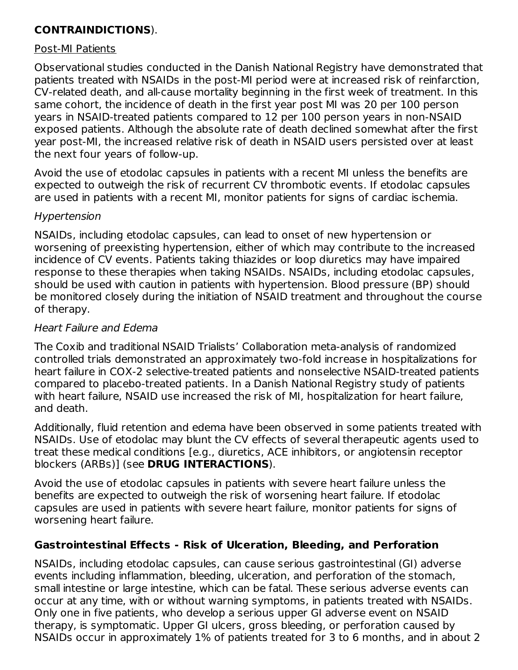### **CONTRAINDICTIONS**).

#### Post-MI Patients

Observational studies conducted in the Danish National Registry have demonstrated that patients treated with NSAIDs in the post-MI period were at increased risk of reinfarction, CV-related death, and all-cause mortality beginning in the first week of treatment. In this same cohort, the incidence of death in the first year post MI was 20 per 100 person years in NSAID-treated patients compared to 12 per 100 person years in non-NSAID exposed patients. Although the absolute rate of death declined somewhat after the first year post-MI, the increased relative risk of death in NSAID users persisted over at least the next four years of follow-up.

Avoid the use of etodolac capsules in patients with a recent MI unless the benefits are expected to outweigh the risk of recurrent CV thrombotic events. If etodolac capsules are used in patients with a recent MI, monitor patients for signs of cardiac ischemia.

#### Hypertension

NSAIDs, including etodolac capsules, can lead to onset of new hypertension or worsening of preexisting hypertension, either of which may contribute to the increased incidence of CV events. Patients taking thiazides or loop diuretics may have impaired response to these therapies when taking NSAIDs. NSAIDs, including etodolac capsules, should be used with caution in patients with hypertension. Blood pressure (BP) should be monitored closely during the initiation of NSAID treatment and throughout the course of therapy.

#### Heart Failure and Edema

The Coxib and traditional NSAID Trialists' Collaboration meta-analysis of randomized controlled trials demonstrated an approximately two-fold increase in hospitalizations for heart failure in COX-2 selective-treated patients and nonselective NSAID-treated patients compared to placebo-treated patients. In a Danish National Registry study of patients with heart failure, NSAID use increased the risk of MI, hospitalization for heart failure, and death.

Additionally, fluid retention and edema have been observed in some patients treated with NSAIDs. Use of etodolac may blunt the CV effects of several therapeutic agents used to treat these medical conditions [e.g., diuretics, ACE inhibitors, or angiotensin receptor blockers (ARBs)] (see **DRUG INTERACTIONS**).

Avoid the use of etodolac capsules in patients with severe heart failure unless the benefits are expected to outweigh the risk of worsening heart failure. If etodolac capsules are used in patients with severe heart failure, monitor patients for signs of worsening heart failure.

#### **Gastrointestinal Effects - Risk of Ulceration, Bleeding, and Perforation**

NSAIDs, including etodolac capsules, can cause serious gastrointestinal (GI) adverse events including inflammation, bleeding, ulceration, and perforation of the stomach, small intestine or large intestine, which can be fatal. These serious adverse events can occur at any time, with or without warning symptoms, in patients treated with NSAIDs. Only one in five patients, who develop a serious upper GI adverse event on NSAID therapy, is symptomatic. Upper GI ulcers, gross bleeding, or perforation caused by NSAIDs occur in approximately 1% of patients treated for 3 to 6 months, and in about 2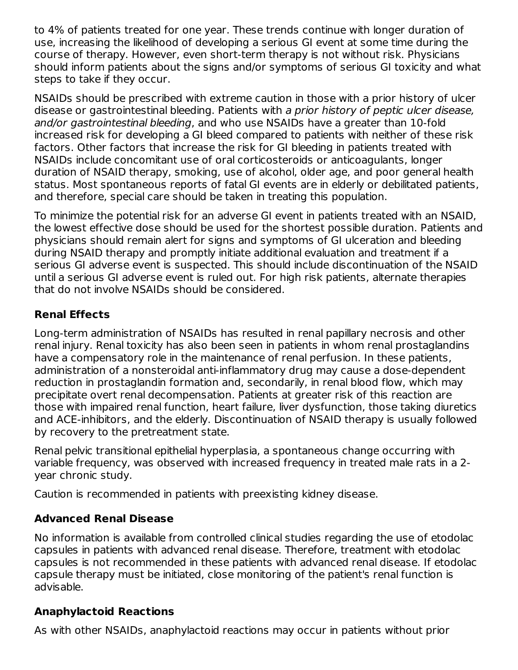to 4% of patients treated for one year. These trends continue with longer duration of use, increasing the likelihood of developing a serious GI event at some time during the course of therapy. However, even short-term therapy is not without risk. Physicians should inform patients about the signs and/or symptoms of serious GI toxicity and what steps to take if they occur.

NSAIDs should be prescribed with extreme caution in those with a prior history of ulcer disease or gastrointestinal bleeding. Patients with a prior history of peptic ulcer disease, and/or gastrointestinal bleeding, and who use NSAIDs have a greater than 10-fold increased risk for developing a GI bleed compared to patients with neither of these risk factors. Other factors that increase the risk for GI bleeding in patients treated with NSAIDs include concomitant use of oral corticosteroids or anticoagulants, longer duration of NSAID therapy, smoking, use of alcohol, older age, and poor general health status. Most spontaneous reports of fatal GI events are in elderly or debilitated patients, and therefore, special care should be taken in treating this population.

To minimize the potential risk for an adverse GI event in patients treated with an NSAID, the lowest effective dose should be used for the shortest possible duration. Patients and physicians should remain alert for signs and symptoms of GI ulceration and bleeding during NSAID therapy and promptly initiate additional evaluation and treatment if a serious GI adverse event is suspected. This should include discontinuation of the NSAID until a serious GI adverse event is ruled out. For high risk patients, alternate therapies that do not involve NSAIDs should be considered.

## **Renal Effects**

Long-term administration of NSAIDs has resulted in renal papillary necrosis and other renal injury. Renal toxicity has also been seen in patients in whom renal prostaglandins have a compensatory role in the maintenance of renal perfusion. In these patients, administration of a nonsteroidal anti-inflammatory drug may cause a dose-dependent reduction in prostaglandin formation and, secondarily, in renal blood flow, which may precipitate overt renal decompensation. Patients at greater risk of this reaction are those with impaired renal function, heart failure, liver dysfunction, those taking diuretics and ACE-inhibitors, and the elderly. Discontinuation of NSAID therapy is usually followed by recovery to the pretreatment state.

Renal pelvic transitional epithelial hyperplasia, a spontaneous change occurring with variable frequency, was observed with increased frequency in treated male rats in a 2 year chronic study.

Caution is recommended in patients with preexisting kidney disease.

## **Advanced Renal Disease**

No information is available from controlled clinical studies regarding the use of etodolac capsules in patients with advanced renal disease. Therefore, treatment with etodolac capsules is not recommended in these patients with advanced renal disease. If etodolac capsule therapy must be initiated, close monitoring of the patient's renal function is advisable.

## **Anaphylactoid Reactions**

As with other NSAIDs, anaphylactoid reactions may occur in patients without prior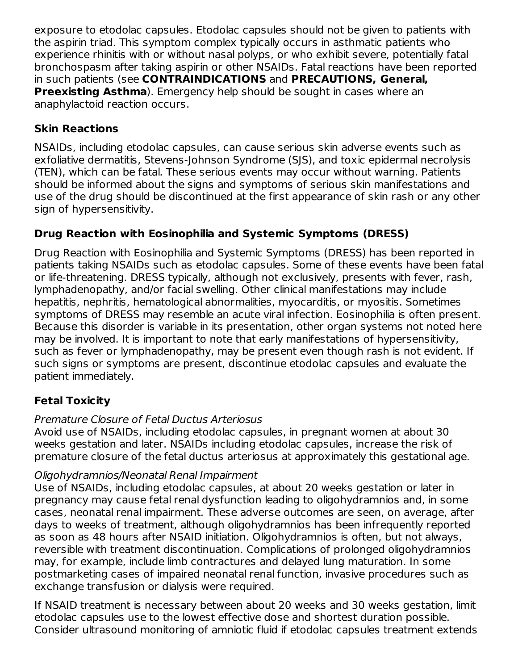exposure to etodolac capsules. Etodolac capsules should not be given to patients with the aspirin triad. This symptom complex typically occurs in asthmatic patients who experience rhinitis with or without nasal polyps, or who exhibit severe, potentially fatal bronchospasm after taking aspirin or other NSAIDs. Fatal reactions have been reported in such patients (see **CONTRAINDICATIONS** and **PRECAUTIONS, General, Preexisting Asthma**). Emergency help should be sought in cases where an anaphylactoid reaction occurs.

## **Skin Reactions**

NSAIDs, including etodolac capsules, can cause serious skin adverse events such as exfoliative dermatitis, Stevens-Johnson Syndrome (SJS), and toxic epidermal necrolysis (TEN), which can be fatal. These serious events may occur without warning. Patients should be informed about the signs and symptoms of serious skin manifestations and use of the drug should be discontinued at the first appearance of skin rash or any other sign of hypersensitivity.

## **Drug Reaction with Eosinophilia and Systemic Symptoms (DRESS)**

Drug Reaction with Eosinophilia and Systemic Symptoms (DRESS) has been reported in patients taking NSAIDs such as etodolac capsules. Some of these events have been fatal or life-threatening. DRESS typically, although not exclusively, presents with fever, rash, lymphadenopathy, and/or facial swelling. Other clinical manifestations may include hepatitis, nephritis, hematological abnormalities, myocarditis, or myositis. Sometimes symptoms of DRESS may resemble an acute viral infection. Eosinophilia is often present. Because this disorder is variable in its presentation, other organ systems not noted here may be involved. It is important to note that early manifestations of hypersensitivity, such as fever or lymphadenopathy, may be present even though rash is not evident. If such signs or symptoms are present, discontinue etodolac capsules and evaluate the patient immediately.

## **Fetal Toxicity**

## Premature Closure of Fetal Ductus Arteriosus

Avoid use of NSAIDs, including etodolac capsules, in pregnant women at about 30 weeks gestation and later. NSAIDs including etodolac capsules, increase the risk of premature closure of the fetal ductus arteriosus at approximately this gestational age.

#### Oligohydramnios/Neonatal Renal Impairment

Use of NSAIDs, including etodolac capsules, at about 20 weeks gestation or later in pregnancy may cause fetal renal dysfunction leading to oligohydramnios and, in some cases, neonatal renal impairment. These adverse outcomes are seen, on average, after days to weeks of treatment, although oligohydramnios has been infrequently reported as soon as 48 hours after NSAID initiation. Oligohydramnios is often, but not always, reversible with treatment discontinuation. Complications of prolonged oligohydramnios may, for example, include limb contractures and delayed lung maturation. In some postmarketing cases of impaired neonatal renal function, invasive procedures such as exchange transfusion or dialysis were required.

If NSAID treatment is necessary between about 20 weeks and 30 weeks gestation, limit etodolac capsules use to the lowest effective dose and shortest duration possible. Consider ultrasound monitoring of amniotic fluid if etodolac capsules treatment extends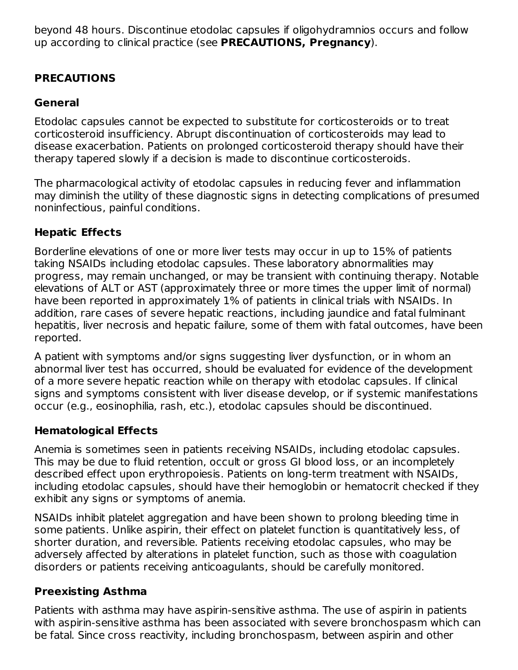beyond 48 hours. Discontinue etodolac capsules if oligohydramnios occurs and follow up according to clinical practice (see **PRECAUTIONS, Pregnancy**).

## **PRECAUTIONS**

### **General**

Etodolac capsules cannot be expected to substitute for corticosteroids or to treat corticosteroid insufficiency. Abrupt discontinuation of corticosteroids may lead to disease exacerbation. Patients on prolonged corticosteroid therapy should have their therapy tapered slowly if a decision is made to discontinue corticosteroids.

The pharmacological activity of etodolac capsules in reducing fever and inflammation may diminish the utility of these diagnostic signs in detecting complications of presumed noninfectious, painful conditions.

## **Hepatic Effects**

Borderline elevations of one or more liver tests may occur in up to 15% of patients taking NSAIDs including etodolac capsules. These laboratory abnormalities may progress, may remain unchanged, or may be transient with continuing therapy. Notable elevations of ALT or AST (approximately three or more times the upper limit of normal) have been reported in approximately 1% of patients in clinical trials with NSAIDs. In addition, rare cases of severe hepatic reactions, including jaundice and fatal fulminant hepatitis, liver necrosis and hepatic failure, some of them with fatal outcomes, have been reported.

A patient with symptoms and/or signs suggesting liver dysfunction, or in whom an abnormal liver test has occurred, should be evaluated for evidence of the development of a more severe hepatic reaction while on therapy with etodolac capsules. If clinical signs and symptoms consistent with liver disease develop, or if systemic manifestations occur (e.g., eosinophilia, rash, etc.), etodolac capsules should be discontinued.

## **Hematological Effects**

Anemia is sometimes seen in patients receiving NSAIDs, including etodolac capsules. This may be due to fluid retention, occult or gross GI blood loss, or an incompletely described effect upon erythropoiesis. Patients on long-term treatment with NSAIDs, including etodolac capsules, should have their hemoglobin or hematocrit checked if they exhibit any signs or symptoms of anemia.

NSAIDs inhibit platelet aggregation and have been shown to prolong bleeding time in some patients. Unlike aspirin, their effect on platelet function is quantitatively less, of shorter duration, and reversible. Patients receiving etodolac capsules, who may be adversely affected by alterations in platelet function, such as those with coagulation disorders or patients receiving anticoagulants, should be carefully monitored.

## **Preexisting Asthma**

Patients with asthma may have aspirin-sensitive asthma. The use of aspirin in patients with aspirin-sensitive asthma has been associated with severe bronchospasm which can be fatal. Since cross reactivity, including bronchospasm, between aspirin and other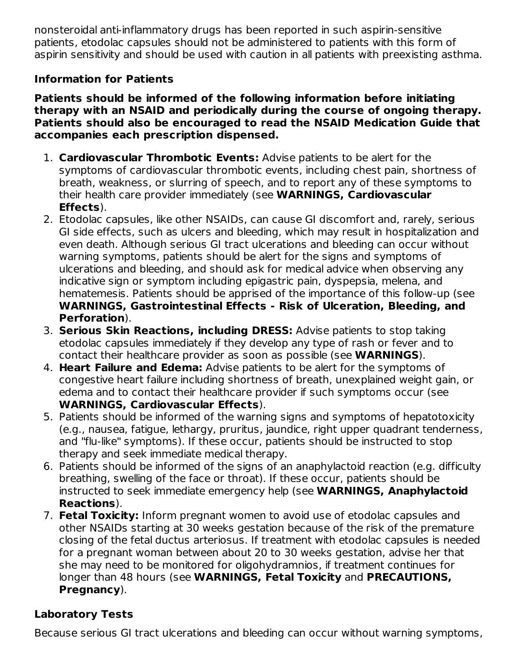nonsteroidal anti-inflammatory drugs has been reported in such aspirin-sensitive patients, etodolac capsules should not be administered to patients with this form of aspirin sensitivity and should be used with caution in all patients with preexisting asthma.

## **Information for Patients**

**Patients should be informed of the following information before initiating therapy with an NSAID and periodically during the course of ongoing therapy. Patients should also be encouraged to read the NSAID Medication Guide that accompanies each prescription dispensed.**

- 1. **Cardiovascular Thrombotic Events:** Advise patients to be alert for the symptoms of cardiovascular thrombotic events, including chest pain, shortness of breath, weakness, or slurring of speech, and to report any of these symptoms to their health care provider immediately (see **WARNINGS, Cardiovascular Effects**).
- 2. Etodolac capsules, like other NSAIDs, can cause GI discomfort and, rarely, serious GI side effects, such as ulcers and bleeding, which may result in hospitalization and even death. Although serious GI tract ulcerations and bleeding can occur without warning symptoms, patients should be alert for the signs and symptoms of ulcerations and bleeding, and should ask for medical advice when observing any indicative sign or symptom including epigastric pain, dyspepsia, melena, and hematemesis. Patients should be apprised of the importance of this follow-up (see **WARNINGS, Gastrointestinal Effects - Risk of Ulceration, Bleeding, and Perforation**).
- 3. **Serious Skin Reactions, including DRESS:** Advise patients to stop taking etodolac capsules immediately if they develop any type of rash or fever and to contact their healthcare provider as soon as possible (see **WARNINGS**).
- 4. **Heart Failure and Edema:** Advise patients to be alert for the symptoms of congestive heart failure including shortness of breath, unexplained weight gain, or edema and to contact their healthcare provider if such symptoms occur (see **WARNINGS, Cardiovascular Effects**).
- 5. Patients should be informed of the warning signs and symptoms of hepatotoxicity (e.g., nausea, fatigue, lethargy, pruritus, jaundice, right upper quadrant tenderness, and "flu-like" symptoms). If these occur, patients should be instructed to stop therapy and seek immediate medical therapy.
- 6. Patients should be informed of the signs of an anaphylactoid reaction (e.g. difficulty breathing, swelling of the face or throat). If these occur, patients should be instructed to seek immediate emergency help (see **WARNINGS, Anaphylactoid Reactions**).
- 7. **Fetal Toxicity:** Inform pregnant women to avoid use of etodolac capsules and other NSAIDs starting at 30 weeks gestation because of the risk of the premature closing of the fetal ductus arteriosus. If treatment with etodolac capsules is needed for a pregnant woman between about 20 to 30 weeks gestation, advise her that she may need to be monitored for oligohydramnios, if treatment continues for longer than 48 hours (see **WARNINGS, Fetal Toxicity** and **PRECAUTIONS, Pregnancy**).

## **Laboratory Tests**

Because serious GI tract ulcerations and bleeding can occur without warning symptoms,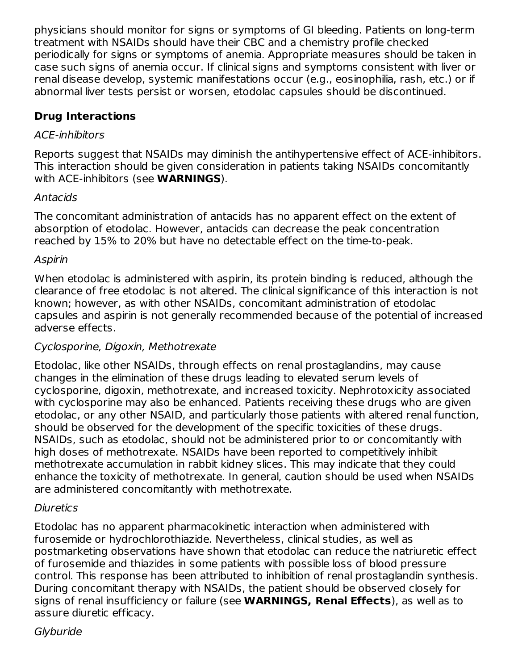physicians should monitor for signs or symptoms of GI bleeding. Patients on long-term treatment with NSAIDs should have their CBC and a chemistry profile checked periodically for signs or symptoms of anemia. Appropriate measures should be taken in case such signs of anemia occur. If clinical signs and symptoms consistent with liver or renal disease develop, systemic manifestations occur (e.g., eosinophilia, rash, etc.) or if abnormal liver tests persist or worsen, etodolac capsules should be discontinued.

## **Drug Interactions**

## ACE-inhibitors

Reports suggest that NSAIDs may diminish the antihypertensive effect of ACE-inhibitors. This interaction should be given consideration in patients taking NSAIDs concomitantly with ACE-inhibitors (see **WARNINGS**).

## Antacids

The concomitant administration of antacids has no apparent effect on the extent of absorption of etodolac. However, antacids can decrease the peak concentration reached by 15% to 20% but have no detectable effect on the time-to-peak.

## Aspirin

When etodolac is administered with aspirin, its protein binding is reduced, although the clearance of free etodolac is not altered. The clinical significance of this interaction is not known; however, as with other NSAIDs, concomitant administration of etodolac capsules and aspirin is not generally recommended because of the potential of increased adverse effects.

## Cyclosporine, Digoxin, Methotrexate

Etodolac, like other NSAIDs, through effects on renal prostaglandins, may cause changes in the elimination of these drugs leading to elevated serum levels of cyclosporine, digoxin, methotrexate, and increased toxicity. Nephrotoxicity associated with cyclosporine may also be enhanced. Patients receiving these drugs who are given etodolac, or any other NSAID, and particularly those patients with altered renal function, should be observed for the development of the specific toxicities of these drugs. NSAIDs, such as etodolac, should not be administered prior to or concomitantly with high doses of methotrexate. NSAIDs have been reported to competitively inhibit methotrexate accumulation in rabbit kidney slices. This may indicate that they could enhance the toxicity of methotrexate. In general, caution should be used when NSAIDs are administered concomitantly with methotrexate.

#### **Diuretics**

Etodolac has no apparent pharmacokinetic interaction when administered with furosemide or hydrochlorothiazide. Nevertheless, clinical studies, as well as postmarketing observations have shown that etodolac can reduce the natriuretic effect of furosemide and thiazides in some patients with possible loss of blood pressure control. This response has been attributed to inhibition of renal prostaglandin synthesis. During concomitant therapy with NSAIDs, the patient should be observed closely for signs of renal insufficiency or failure (see **WARNINGS, Renal Effects**), as well as to assure diuretic efficacy.

## Glyburide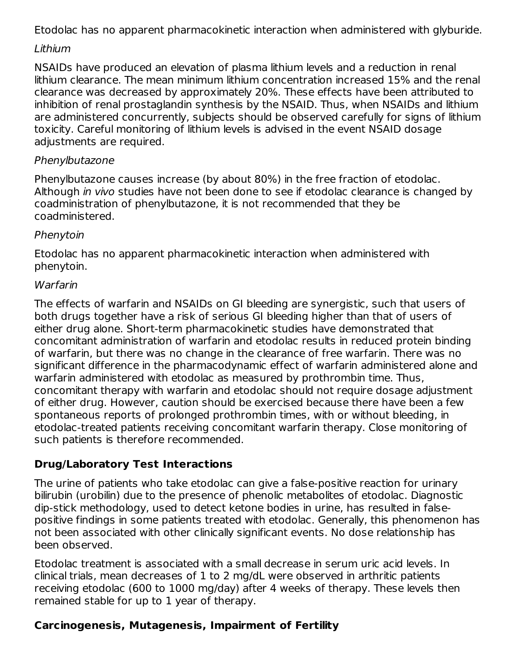Etodolac has no apparent pharmacokinetic interaction when administered with glyburide.

### Lithium

NSAIDs have produced an elevation of plasma lithium levels and a reduction in renal lithium clearance. The mean minimum lithium concentration increased 15% and the renal clearance was decreased by approximately 20%. These effects have been attributed to inhibition of renal prostaglandin synthesis by the NSAID. Thus, when NSAIDs and lithium are administered concurrently, subjects should be observed carefully for signs of lithium toxicity. Careful monitoring of lithium levels is advised in the event NSAID dosage adjustments are required.

## Phenylbutazone

Phenylbutazone causes increase (by about 80%) in the free fraction of etodolac. Although *in vivo* studies have not been done to see if etodolac clearance is changed by coadministration of phenylbutazone, it is not recommended that they be coadministered.

#### Phenytoin

Etodolac has no apparent pharmacokinetic interaction when administered with phenytoin.

#### **Warfarin**

The effects of warfarin and NSAIDs on GI bleeding are synergistic, such that users of both drugs together have a risk of serious GI bleeding higher than that of users of either drug alone. Short-term pharmacokinetic studies have demonstrated that concomitant administration of warfarin and etodolac results in reduced protein binding of warfarin, but there was no change in the clearance of free warfarin. There was no significant difference in the pharmacodynamic effect of warfarin administered alone and warfarin administered with etodolac as measured by prothrombin time. Thus, concomitant therapy with warfarin and etodolac should not require dosage adjustment of either drug. However, caution should be exercised because there have been a few spontaneous reports of prolonged prothrombin times, with or without bleeding, in etodolac-treated patients receiving concomitant warfarin therapy. Close monitoring of such patients is therefore recommended.

## **Drug/Laboratory Test Interactions**

The urine of patients who take etodolac can give a false-positive reaction for urinary bilirubin (urobilin) due to the presence of phenolic metabolites of etodolac. Diagnostic dip-stick methodology, used to detect ketone bodies in urine, has resulted in falsepositive findings in some patients treated with etodolac. Generally, this phenomenon has not been associated with other clinically significant events. No dose relationship has been observed.

Etodolac treatment is associated with a small decrease in serum uric acid levels. In clinical trials, mean decreases of 1 to 2 mg/dL were observed in arthritic patients receiving etodolac (600 to 1000 mg/day) after 4 weeks of therapy. These levels then remained stable for up to 1 year of therapy.

## **Carcinogenesis, Mutagenesis, Impairment of Fertility**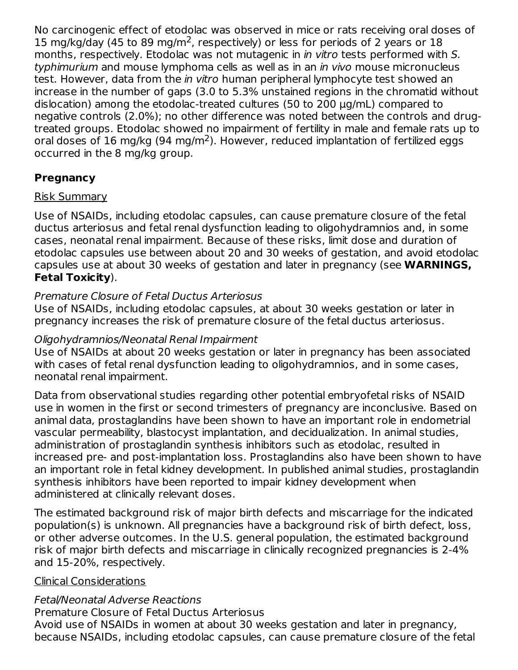No carcinogenic effect of etodolac was observed in mice or rats receiving oral doses of 15 mg/kg/day (45 to 89 mg/m<sup>2</sup>, respectively) or less for periods of 2 years or 18 months, respectively. Etodolac was not mutagenic in *in vitro* tests performed with S. typhimurium and mouse lymphoma cells as well as in an in vivo mouse micronucleus test. However, data from the in vitro human peripheral lymphocyte test showed an increase in the number of gaps (3.0 to 5.3% unstained regions in the chromatid without dislocation) among the etodolac-treated cultures (50 to 200 µg/mL) compared to negative controls (2.0%); no other difference was noted between the controls and drugtreated groups. Etodolac showed no impairment of fertility in male and female rats up to oral doses of 16 mg/kg (94 mg/m<sup>2</sup>). However, reduced implantation of fertilized eggs occurred in the 8 mg/kg group.

## **Pregnancy**

## Risk Summary

Use of NSAIDs, including etodolac capsules, can cause premature closure of the fetal ductus arteriosus and fetal renal dysfunction leading to oligohydramnios and, in some cases, neonatal renal impairment. Because of these risks, limit dose and duration of etodolac capsules use between about 20 and 30 weeks of gestation, and avoid etodolac capsules use at about 30 weeks of gestation and later in pregnancy (see **WARNINGS, Fetal Toxicity**).

## Premature Closure of Fetal Ductus Arteriosus

Use of NSAIDs, including etodolac capsules, at about 30 weeks gestation or later in pregnancy increases the risk of premature closure of the fetal ductus arteriosus.

### Oligohydramnios/Neonatal Renal Impairment

Use of NSAIDs at about 20 weeks gestation or later in pregnancy has been associated with cases of fetal renal dysfunction leading to oligohydramnios, and in some cases, neonatal renal impairment.

Data from observational studies regarding other potential embryofetal risks of NSAID use in women in the first or second trimesters of pregnancy are inconclusive. Based on animal data, prostaglandins have been shown to have an important role in endometrial vascular permeability, blastocyst implantation, and decidualization. In animal studies, administration of prostaglandin synthesis inhibitors such as etodolac, resulted in increased pre- and post-implantation loss. Prostaglandins also have been shown to have an important role in fetal kidney development. In published animal studies, prostaglandin synthesis inhibitors have been reported to impair kidney development when administered at clinically relevant doses.

The estimated background risk of major birth defects and miscarriage for the indicated population(s) is unknown. All pregnancies have a background risk of birth defect, loss, or other adverse outcomes. In the U.S. general population, the estimated background risk of major birth defects and miscarriage in clinically recognized pregnancies is 2-4% and 15-20%, respectively.

#### Clinical Considerations

#### Fetal/Neonatal Adverse Reactions

Premature Closure of Fetal Ductus Arteriosus Avoid use of NSAIDs in women at about 30 weeks gestation and later in pregnancy, because NSAIDs, including etodolac capsules, can cause premature closure of the fetal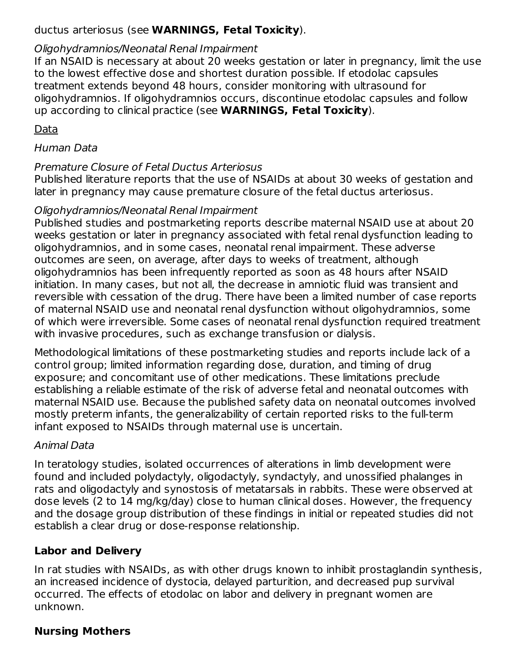### ductus arteriosus (see **WARNINGS, Fetal Toxicity**).

#### Oligohydramnios/Neonatal Renal Impairment

If an NSAID is necessary at about 20 weeks gestation or later in pregnancy, limit the use to the lowest effective dose and shortest duration possible. If etodolac capsules treatment extends beyond 48 hours, consider monitoring with ultrasound for oligohydramnios. If oligohydramnios occurs, discontinue etodolac capsules and follow up according to clinical practice (see **WARNINGS, Fetal Toxicity**).

## Data

#### Human Data

#### Premature Closure of Fetal Ductus Arteriosus

Published literature reports that the use of NSAIDs at about 30 weeks of gestation and later in pregnancy may cause premature closure of the fetal ductus arteriosus.

#### Oligohydramnios/Neonatal Renal Impairment

Published studies and postmarketing reports describe maternal NSAID use at about 20 weeks gestation or later in pregnancy associated with fetal renal dysfunction leading to oligohydramnios, and in some cases, neonatal renal impairment. These adverse outcomes are seen, on average, after days to weeks of treatment, although oligohydramnios has been infrequently reported as soon as 48 hours after NSAID initiation. In many cases, but not all, the decrease in amniotic fluid was transient and reversible with cessation of the drug. There have been a limited number of case reports of maternal NSAID use and neonatal renal dysfunction without oligohydramnios, some of which were irreversible. Some cases of neonatal renal dysfunction required treatment with invasive procedures, such as exchange transfusion or dialysis.

Methodological limitations of these postmarketing studies and reports include lack of a control group; limited information regarding dose, duration, and timing of drug exposure; and concomitant use of other medications. These limitations preclude establishing a reliable estimate of the risk of adverse fetal and neonatal outcomes with maternal NSAID use. Because the published safety data on neonatal outcomes involved mostly preterm infants, the generalizability of certain reported risks to the full-term infant exposed to NSAIDs through maternal use is uncertain.

## Animal Data

In teratology studies, isolated occurrences of alterations in limb development were found and included polydactyly, oligodactyly, syndactyly, and unossified phalanges in rats and oligodactyly and synostosis of metatarsals in rabbits. These were observed at dose levels (2 to 14 mg/kg/day) close to human clinical doses. However, the frequency and the dosage group distribution of these findings in initial or repeated studies did not establish a clear drug or dose-response relationship.

## **Labor and Delivery**

In rat studies with NSAIDs, as with other drugs known to inhibit prostaglandin synthesis, an increased incidence of dystocia, delayed parturition, and decreased pup survival occurred. The effects of etodolac on labor and delivery in pregnant women are unknown.

## **Nursing Mothers**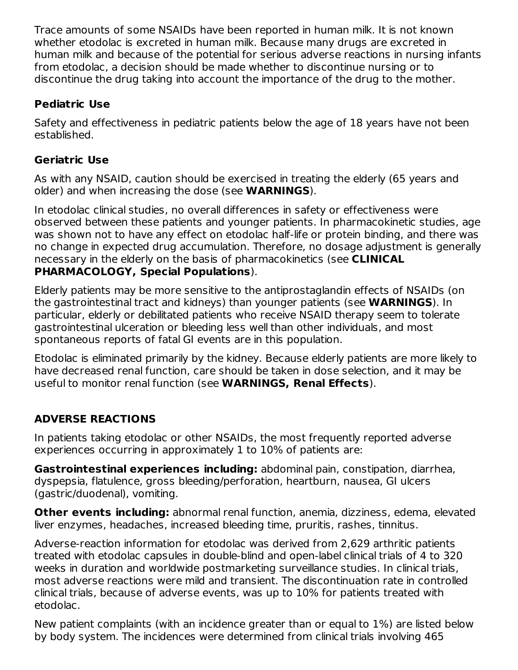Trace amounts of some NSAIDs have been reported in human milk. It is not known whether etodolac is excreted in human milk. Because many drugs are excreted in human milk and because of the potential for serious adverse reactions in nursing infants from etodolac, a decision should be made whether to discontinue nursing or to discontinue the drug taking into account the importance of the drug to the mother.

## **Pediatric Use**

Safety and effectiveness in pediatric patients below the age of 18 years have not been established.

## **Geriatric Use**

As with any NSAID, caution should be exercised in treating the elderly (65 years and older) and when increasing the dose (see **WARNINGS**).

In etodolac clinical studies, no overall differences in safety or effectiveness were observed between these patients and younger patients. In pharmacokinetic studies, age was shown not to have any effect on etodolac half-life or protein binding, and there was no change in expected drug accumulation. Therefore, no dosage adjustment is generally necessary in the elderly on the basis of pharmacokinetics (see **CLINICAL PHARMACOLOGY, Special Populations**).

Elderly patients may be more sensitive to the antiprostaglandin effects of NSAIDs (on the gastrointestinal tract and kidneys) than younger patients (see **WARNINGS**). In particular, elderly or debilitated patients who receive NSAID therapy seem to tolerate gastrointestinal ulceration or bleeding less well than other individuals, and most spontaneous reports of fatal GI events are in this population.

Etodolac is eliminated primarily by the kidney. Because elderly patients are more likely to have decreased renal function, care should be taken in dose selection, and it may be useful to monitor renal function (see **WARNINGS, Renal Effects**).

## **ADVERSE REACTIONS**

In patients taking etodolac or other NSAIDs, the most frequently reported adverse experiences occurring in approximately 1 to 10% of patients are:

**Gastrointestinal experiences including:** abdominal pain, constipation, diarrhea, dyspepsia, flatulence, gross bleeding/perforation, heartburn, nausea, GI ulcers (gastric/duodenal), vomiting.

**Other events including:** abnormal renal function, anemia, dizziness, edema, elevated liver enzymes, headaches, increased bleeding time, pruritis, rashes, tinnitus.

Adverse-reaction information for etodolac was derived from 2,629 arthritic patients treated with etodolac capsules in double-blind and open-label clinical trials of 4 to 320 weeks in duration and worldwide postmarketing surveillance studies. In clinical trials, most adverse reactions were mild and transient. The discontinuation rate in controlled clinical trials, because of adverse events, was up to 10% for patients treated with etodolac.

New patient complaints (with an incidence greater than or equal to 1%) are listed below by body system. The incidences were determined from clinical trials involving 465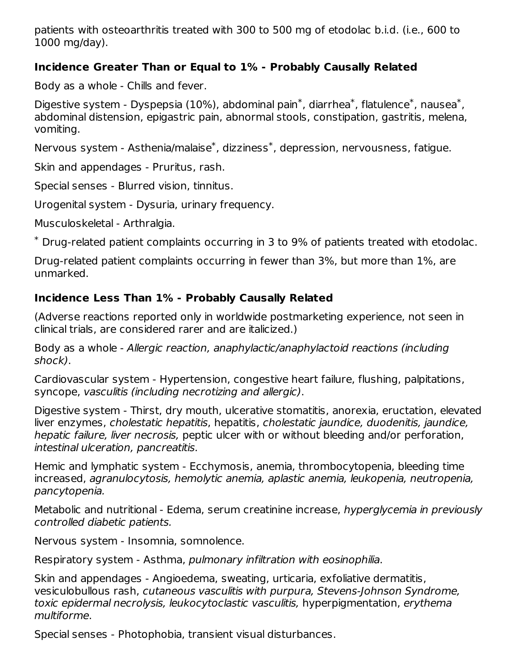patients with osteoarthritis treated with 300 to 500 mg of etodolac b.i.d. (i.e., 600 to 1000 mg/day).

#### **Incidence Greater Than or Equal to 1% - Probably Causally Related**

Body as a whole - Chills and fever.

Digestive system - Dyspepsia (10%), abdominal pain $^*$ , diarrhea $^*$ , flatulence $^*$ , nausea $^*$ , abdominal distension, epigastric pain, abnormal stools, constipation, gastritis, melena, vomiting.

Nervous system - Asthenia/malaise<sup>\*</sup>, dizziness<sup>\*</sup>, depression, nervousness, fatigue.

Skin and appendages - Pruritus, rash.

Special senses - Blurred vision, tinnitus.

Urogenital system - Dysuria, urinary frequency.

Musculoskeletal - Arthralgia.

Drug-related patient complaints occurring in 3 to 9% of patients treated with etodolac. \*

Drug-related patient complaints occurring in fewer than 3%, but more than 1%, are unmarked.

## **Incidence Less Than 1% - Probably Causally Related**

(Adverse reactions reported only in worldwide postmarketing experience, not seen in clinical trials, are considered rarer and are italicized.)

Body as a whole - Allergic reaction, anaphylactic/anaphylactoid reactions (including shock).

Cardiovascular system - Hypertension, congestive heart failure, flushing, palpitations, syncope, vasculitis (including necrotizing and allergic).

Digestive system - Thirst, dry mouth, ulcerative stomatitis, anorexia, eructation, elevated liver enzymes, cholestatic hepatitis, hepatitis, cholestatic jaundice, duodenitis, jaundice, hepatic failure, liver necrosis, peptic ulcer with or without bleeding and/or perforation, intestinal ulceration, pancreatitis.

Hemic and lymphatic system - Ecchymosis, anemia, thrombocytopenia, bleeding time increased, agranulocytosis, hemolytic anemia, aplastic anemia, leukopenia, neutropenia, pancytopenia.

Metabolic and nutritional - Edema, serum creatinine increase, hyperglycemia in previously controlled diabetic patients.

Nervous system - Insomnia, somnolence.

Respiratory system - Asthma, pulmonary infiltration with eosinophilia.

Skin and appendages - Angioedema, sweating, urticaria, exfoliative dermatitis, vesiculobullous rash, cutaneous vasculitis with purpura, Stevens-Johnson Syndrome, toxic epidermal necrolysis, leukocytoclastic vasculitis, hyperpigmentation, erythema multiforme.

Special senses - Photophobia, transient visual disturbances.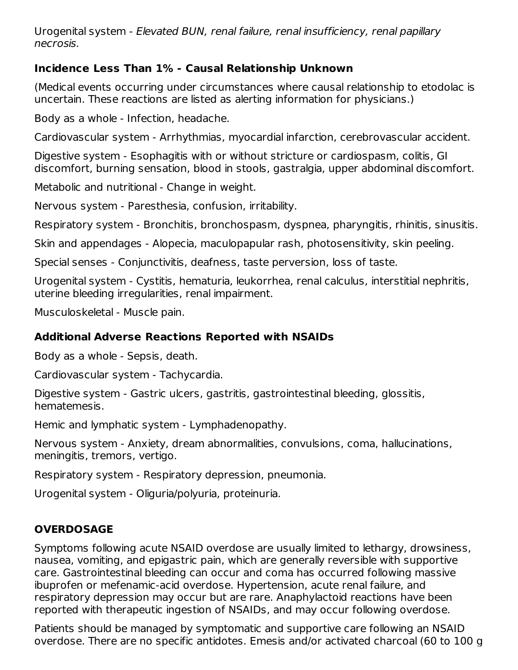Urogenital system - Elevated BUN, renal failure, renal insufficiency, renal papillary necrosis.

#### **Incidence Less Than 1% - Causal Relationship Unknown**

(Medical events occurring under circumstances where causal relationship to etodolac is uncertain. These reactions are listed as alerting information for physicians.)

Body as a whole - Infection, headache.

Cardiovascular system - Arrhythmias, myocardial infarction, cerebrovascular accident.

Digestive system - Esophagitis with or without stricture or cardiospasm, colitis, GI discomfort, burning sensation, blood in stools, gastralgia, upper abdominal discomfort.

Metabolic and nutritional - Change in weight.

Nervous system - Paresthesia, confusion, irritability.

Respiratory system - Bronchitis, bronchospasm, dyspnea, pharyngitis, rhinitis, sinusitis.

Skin and appendages - Alopecia, maculopapular rash, photosensitivity, skin peeling.

Special senses - Conjunctivitis, deafness, taste perversion, loss of taste.

Urogenital system - Cystitis, hematuria, leukorrhea, renal calculus, interstitial nephritis, uterine bleeding irregularities, renal impairment.

Musculoskeletal - Muscle pain.

#### **Additional Adverse Reactions Reported with NSAIDs**

Body as a whole - Sepsis, death.

Cardiovascular system - Tachycardia.

Digestive system - Gastric ulcers, gastritis, gastrointestinal bleeding, glossitis, hematemesis.

Hemic and lymphatic system - Lymphadenopathy.

Nervous system - Anxiety, dream abnormalities, convulsions, coma, hallucinations, meningitis, tremors, vertigo.

Respiratory system - Respiratory depression, pneumonia.

Urogenital system - Oliguria/polyuria, proteinuria.

## **OVERDOSAGE**

Symptoms following acute NSAID overdose are usually limited to lethargy, drowsiness, nausea, vomiting, and epigastric pain, which are generally reversible with supportive care. Gastrointestinal bleeding can occur and coma has occurred following massive ibuprofen or mefenamic-acid overdose. Hypertension, acute renal failure, and respiratory depression may occur but are rare. Anaphylactoid reactions have been reported with therapeutic ingestion of NSAIDs, and may occur following overdose.

Patients should be managed by symptomatic and supportive care following an NSAID overdose. There are no specific antidotes. Emesis and/or activated charcoal (60 to 100 g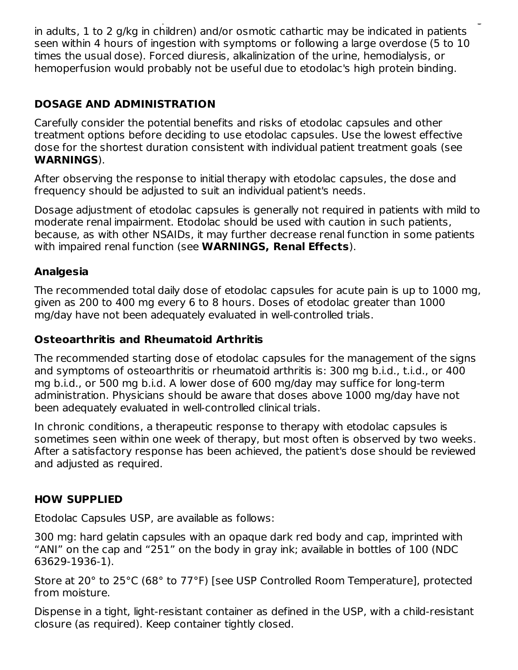overdose. There are no specific antidotes. Emesis and/or activated charcoal (60 to 100 g in adults, 1 to 2 g/kg in children) and/or osmotic cathartic may be indicated in patients seen within 4 hours of ingestion with symptoms or following a large overdose (5 to 10 times the usual dose). Forced diuresis, alkalinization of the urine, hemodialysis, or hemoperfusion would probably not be useful due to etodolac's high protein binding.

## **DOSAGE AND ADMINISTRATION**

Carefully consider the potential benefits and risks of etodolac capsules and other treatment options before deciding to use etodolac capsules. Use the lowest effective dose for the shortest duration consistent with individual patient treatment goals (see **WARNINGS**).

After observing the response to initial therapy with etodolac capsules, the dose and frequency should be adjusted to suit an individual patient's needs.

Dosage adjustment of etodolac capsules is generally not required in patients with mild to moderate renal impairment. Etodolac should be used with caution in such patients, because, as with other NSAIDs, it may further decrease renal function in some patients with impaired renal function (see **WARNINGS, Renal Effects**).

## **Analgesia**

The recommended total daily dose of etodolac capsules for acute pain is up to 1000 mg, given as 200 to 400 mg every 6 to 8 hours. Doses of etodolac greater than 1000 mg/day have not been adequately evaluated in well-controlled trials.

### **Osteoarthritis and Rheumatoid Arthritis**

The recommended starting dose of etodolac capsules for the management of the signs and symptoms of osteoarthritis or rheumatoid arthritis is: 300 mg b.i.d., t.i.d., or 400 mg b.i.d., or 500 mg b.i.d. A lower dose of 600 mg/day may suffice for long-term administration. Physicians should be aware that doses above 1000 mg/day have not been adequately evaluated in well-controlled clinical trials.

In chronic conditions, a therapeutic response to therapy with etodolac capsules is sometimes seen within one week of therapy, but most often is observed by two weeks. After a satisfactory response has been achieved, the patient's dose should be reviewed and adjusted as required.

## **HOW SUPPLIED**

Etodolac Capsules USP, are available as follows:

300 mg: hard gelatin capsules with an opaque dark red body and cap, imprinted with "ANI" on the cap and "251" on the body in gray ink; available in bottles of 100 (NDC 63629-1936-1).

Store at 20° to 25°C (68° to 77°F) [see USP Controlled Room Temperature], protected from moisture.

Dispense in a tight, light-resistant container as defined in the USP, with a child-resistant closure (as required). Keep container tightly closed.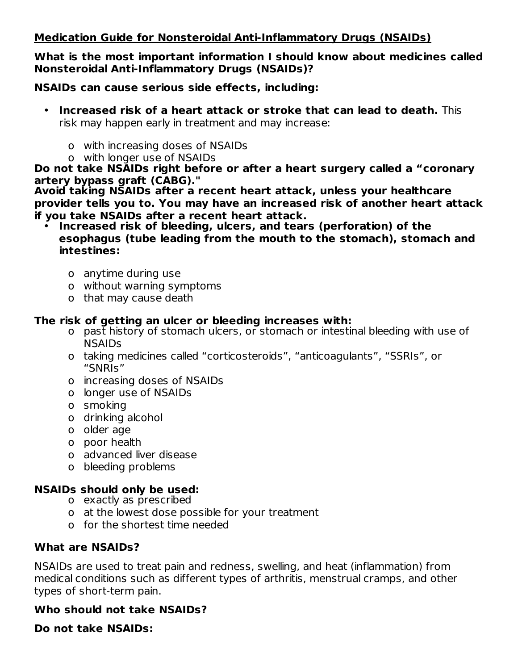#### **Medication Guide for Nonsteroidal Anti-Inflammatory Drugs (NSAIDs)**

#### **What is the most important information I should know about medicines called Nonsteroidal Anti-Inflammatory Drugs (NSAIDs)?**

**NSAIDs can cause serious side effects, including:**

- **Increased risk of a heart attack or stroke that can lead to death.** This risk may happen early in treatment and may increase:
	- o with increasing doses of NSAIDs
	- o with longer use of NSAIDs

**Do not take NSAIDs right before or after a heart surgery called a "coronary artery bypass graft (CABG)."**

**Avoid taking NSAIDs after a recent heart attack, unless your healthcare provider tells you to. You may have an increased risk of another heart attack if you take NSAIDs after a recent heart attack.**

- **Increased risk of bleeding, ulcers, and tears (perforation) of the esophagus (tube leading from the mouth to the stomach), stomach and intestines:**
	- o anytime during use
	- o without warning symptoms
	- o that may cause death

#### **The risk of getting an ulcer or bleeding increases with:**

- o past history of stomach ulcers, or stomach or intestinal bleeding with use of NSAIDs
- o taking medicines called "corticosteroids", "anticoagulants", "SSRIs", or "SNRIs"
- o increasing doses of NSAIDs
- o longer use of NSAIDs
- o smoking
- o drinking alcohol
- o older age
- o poor health
- o advanced liver disease
- o bleeding problems

#### **NSAIDs should only be used:**

- o exactly as prescribed
- o at the lowest dose possible for your treatment
- o for the shortest time needed

## **What are NSAIDs?**

NSAIDs are used to treat pain and redness, swelling, and heat (inflammation) from medical conditions such as different types of arthritis, menstrual cramps, and other types of short-term pain.

## **Who should not take NSAIDs?**

**Do not take NSAIDs:**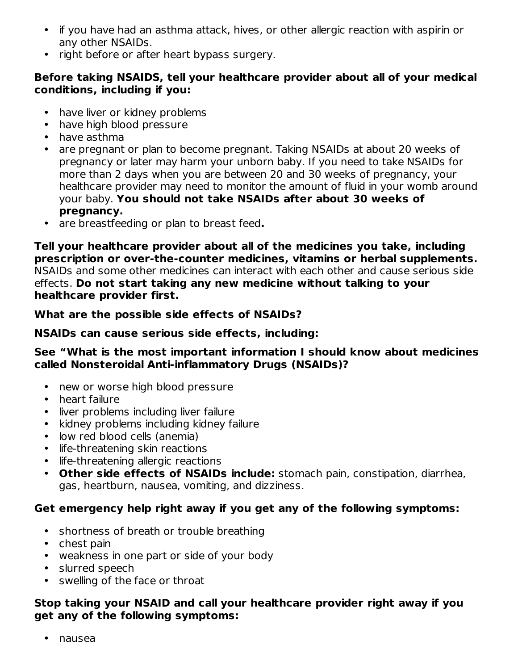- if you have had an asthma attack, hives, or other allergic reaction with aspirin or any other NSAIDs.
- right before or after heart bypass surgery.

#### **Before taking NSAIDS, tell your healthcare provider about all of your medical conditions, including if you:**

- have liver or kidney problems
- have high blood pressure
- have asthma
- are pregnant or plan to become pregnant. Taking NSAIDs at about 20 weeks of pregnancy or later may harm your unborn baby. If you need to take NSAIDs for more than 2 days when you are between 20 and 30 weeks of pregnancy, your healthcare provider may need to monitor the amount of fluid in your womb around your baby. **You should not take NSAIDs after about 30 weeks of pregnancy.**
- are breastfeeding or plan to breast feed**.**

**Tell your healthcare provider about all of the medicines you take, including prescription or over-the-counter medicines, vitamins or herbal supplements.** NSAIDs and some other medicines can interact with each other and cause serious side effects. **Do not start taking any new medicine without talking to your healthcare provider first.**

#### **What are the possible side effects of NSAIDs?**

#### **NSAIDs can cause serious side effects, including:**

#### **See "What is the most important information I should know about medicines called Nonsteroidal Anti-inflammatory Drugs (NSAIDs)?**

- new or worse high blood pressure
- heart failure
- liver problems including liver failure
- kidney problems including kidney failure
- low red blood cells (anemia)
- life-threatening skin reactions
- life-threatening allergic reactions
- **Other side effects of NSAIDs include:** stomach pain, constipation, diarrhea, gas, heartburn, nausea, vomiting, and dizziness.

## **Get emergency help right away if you get any of the following symptoms:**

- shortness of breath or trouble breathing
- chest pain
- weakness in one part or side of your body
- slurred speech
- swelling of the face or throat

#### **Stop taking your NSAID and call your healthcare provider right away if you get any of the following symptoms:**

• nausea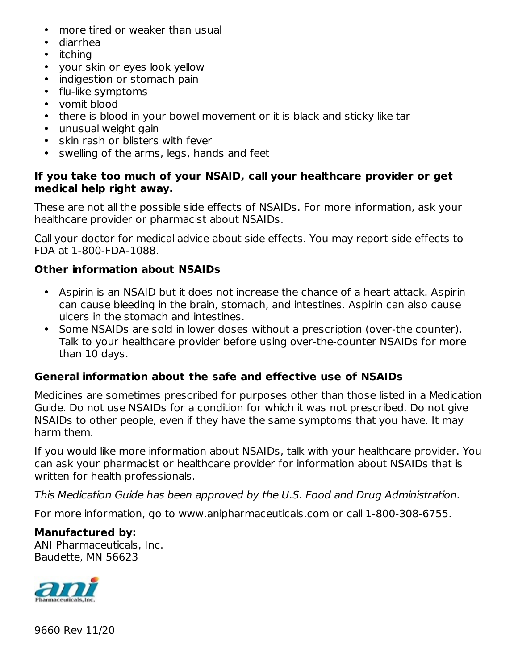- more tired or weaker than usual
- diarrhea
- itching
- your skin or eyes look yellow
- indigestion or stomach pain
- flu-like symptoms
- vomit blood
- there is blood in your bowel movement or it is black and sticky like tar
- unusual weight gain
- skin rash or blisters with fever
- swelling of the arms, legs, hands and feet

#### **If you take too much of your NSAID, call your healthcare provider or get medical help right away.**

These are not all the possible side effects of NSAIDs. For more information, ask your healthcare provider or pharmacist about NSAIDs.

Call your doctor for medical advice about side effects. You may report side effects to FDA at 1-800-FDA-1088.

#### **Other information about NSAIDs**

- Aspirin is an NSAID but it does not increase the chance of a heart attack. Aspirin can cause bleeding in the brain, stomach, and intestines. Aspirin can also cause ulcers in the stomach and intestines.
- Some NSAIDs are sold in lower doses without a prescription (over-the counter). Talk to your healthcare provider before using over-the-counter NSAIDs for more than 10 days.

#### **General information about the safe and effective use of NSAIDs**

Medicines are sometimes prescribed for purposes other than those listed in a Medication Guide. Do not use NSAIDs for a condition for which it was not prescribed. Do not give NSAIDs to other people, even if they have the same symptoms that you have. It may harm them.

If you would like more information about NSAIDs, talk with your healthcare provider. You can ask your pharmacist or healthcare provider for information about NSAIDs that is written for health professionals.

This Medication Guide has been approved by the U.S. Food and Drug Administration.

For more information, go to www.anipharmaceuticals.com or call 1-800-308-6755.

#### **Manufactured by:**

ANI Pharmaceuticals, Inc. Baudette, MN 56623



9660 Rev 11/20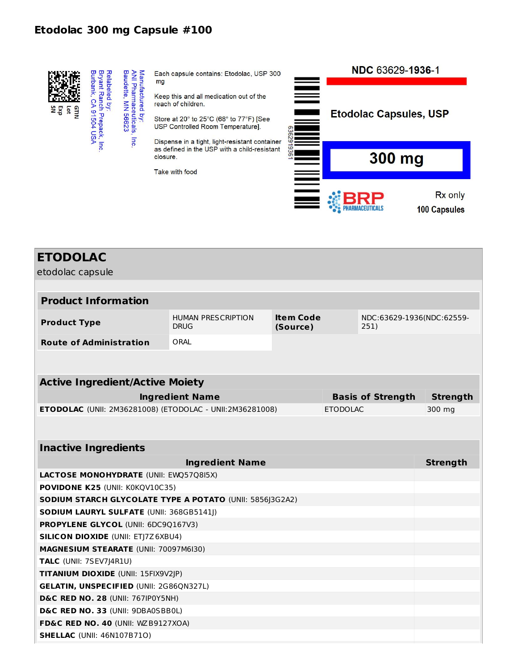#### **Etodolac 300 mg Capsule #100**



| <b>ETODOLAC</b>                                                 |                                                                                                               |  |                 |                          |                 |  |  |  |
|-----------------------------------------------------------------|---------------------------------------------------------------------------------------------------------------|--|-----------------|--------------------------|-----------------|--|--|--|
| etodolac capsule                                                |                                                                                                               |  |                 |                          |                 |  |  |  |
|                                                                 |                                                                                                               |  |                 |                          |                 |  |  |  |
| <b>Product Information</b>                                      |                                                                                                               |  |                 |                          |                 |  |  |  |
| <b>Product Type</b>                                             | <b>Item Code</b><br><b>HUMAN PRESCRIPTION</b><br>NDC:63629-1936(NDC:62559-<br><b>DRUG</b><br>(Source)<br>251) |  |                 |                          |                 |  |  |  |
| <b>Route of Administration</b>                                  | ORAL                                                                                                          |  |                 |                          |                 |  |  |  |
|                                                                 |                                                                                                               |  |                 |                          |                 |  |  |  |
|                                                                 |                                                                                                               |  |                 |                          |                 |  |  |  |
| <b>Active Ingredient/Active Moiety</b>                          |                                                                                                               |  |                 |                          |                 |  |  |  |
|                                                                 | <b>Ingredient Name</b>                                                                                        |  |                 | <b>Basis of Strength</b> | <b>Strength</b> |  |  |  |
| <b>ETODOLAC</b> (UNII: 2M36281008) (ETODOLAC - UNII:2M36281008) |                                                                                                               |  | <b>ETODOLAC</b> |                          | 300 mg          |  |  |  |
|                                                                 |                                                                                                               |  |                 |                          |                 |  |  |  |
| <b>Inactive Ingredients</b>                                     |                                                                                                               |  |                 |                          |                 |  |  |  |
| <b>Strength</b><br><b>Ingredient Name</b>                       |                                                                                                               |  |                 |                          |                 |  |  |  |
| <b>LACTOSE MONOHYDRATE (UNII: EWQ57Q8I5X)</b>                   |                                                                                                               |  |                 |                          |                 |  |  |  |
| <b>POVIDONE K25 (UNII: K0KQV10C35)</b>                          |                                                                                                               |  |                 |                          |                 |  |  |  |
| SODIUM STARCH GLYCOLATE TYPE A POTATO (UNII: 5856J3G2A2)        |                                                                                                               |  |                 |                          |                 |  |  |  |
| <b>SODIUM LAURYL SULFATE (UNII: 368GB5141J)</b>                 |                                                                                                               |  |                 |                          |                 |  |  |  |
|                                                                 | PROPYLENE GLYCOL (UNII: 6DC9Q167V3)                                                                           |  |                 |                          |                 |  |  |  |
|                                                                 | <b>SILICON DIOXIDE (UNII: ETJ7Z6XBU4)</b>                                                                     |  |                 |                          |                 |  |  |  |
| MAGNESIUM STEARATE (UNII: 70097M6I30)                           |                                                                                                               |  |                 |                          |                 |  |  |  |
| TALC (UNII: 7SEV7J4R1U)                                         |                                                                                                               |  |                 |                          |                 |  |  |  |
| TITANIUM DIOXIDE (UNII: 15FIX9V2JP)                             |                                                                                                               |  |                 |                          |                 |  |  |  |
| <b>GELATIN, UNSPECIFIED (UNII: 2G86QN327L)</b>                  |                                                                                                               |  |                 |                          |                 |  |  |  |
| D&C RED NO. 28 (UNII: 767IP0Y5NH)                               |                                                                                                               |  |                 |                          |                 |  |  |  |
| D&C RED NO. 33 (UNII: 9DBA0SBB0L)                               |                                                                                                               |  |                 |                          |                 |  |  |  |
| FD&C RED NO. 40 (UNII: WZB9127XOA)                              |                                                                                                               |  |                 |                          |                 |  |  |  |
| <b>SHELLAC</b> (UNII: 46N107B71O)                               |                                                                                                               |  |                 |                          |                 |  |  |  |